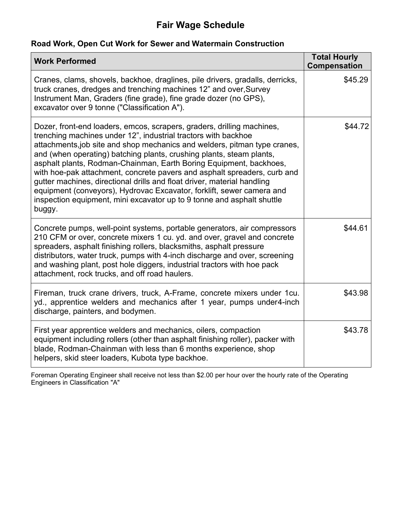#### **Road Work, Open Cut Work for Sewer and Watermain Construction**

| <b>Work Performed</b>                                                                                                                                                                                                                                                                                                                                                                                                                                                                                                                                                                                                                                                                   | <b>Total Hourly</b><br><b>Compensation</b> |
|-----------------------------------------------------------------------------------------------------------------------------------------------------------------------------------------------------------------------------------------------------------------------------------------------------------------------------------------------------------------------------------------------------------------------------------------------------------------------------------------------------------------------------------------------------------------------------------------------------------------------------------------------------------------------------------------|--------------------------------------------|
| Cranes, clams, shovels, backhoe, draglines, pile drivers, gradalls, derricks,<br>truck cranes, dredges and trenching machines 12" and over, Survey<br>Instrument Man, Graders (fine grade), fine grade dozer (no GPS),<br>excavator over 9 tonne ("Classification A").                                                                                                                                                                                                                                                                                                                                                                                                                  | \$45.29                                    |
| Dozer, front-end loaders, emcos, scrapers, graders, drilling machines,<br>trenching machines under 12", industrial tractors with backhoe<br>attachments, job site and shop mechanics and welders, pitman type cranes,<br>and (when operating) batching plants, crushing plants, steam plants,<br>asphalt plants, Rodman-Chainman, Earth Boring Equipment, backhoes,<br>with hoe-pak attachment, concrete pavers and asphalt spreaders, curb and<br>gutter machines, directional drills and float driver, material handling<br>equipment (conveyors), Hydrovac Excavator, forklift, sewer camera and<br>inspection equipment, mini excavator up to 9 tonne and asphalt shuttle<br>buggy. | \$44.72                                    |
| Concrete pumps, well-point systems, portable generators, air compressors<br>210 CFM or over, concrete mixers 1 cu. yd. and over, gravel and concrete<br>spreaders, asphalt finishing rollers, blacksmiths, asphalt pressure<br>distributors, water truck, pumps with 4-inch discharge and over, screening<br>and washing plant, post hole diggers, industrial tractors with hoe pack<br>attachment, rock trucks, and off road haulers.                                                                                                                                                                                                                                                  | \$44.61                                    |
| Fireman, truck crane drivers, truck, A-Frame, concrete mixers under 1cu.<br>yd., apprentice welders and mechanics after 1 year, pumps under4-inch<br>discharge, painters, and bodymen.                                                                                                                                                                                                                                                                                                                                                                                                                                                                                                  | \$43.98                                    |
| First year apprentice welders and mechanics, oilers, compaction<br>equipment including rollers (other than asphalt finishing roller), packer with<br>blade, Rodman-Chainman with less than 6 months experience, shop<br>helpers, skid steer loaders, Kubota type backhoe.                                                                                                                                                                                                                                                                                                                                                                                                               | \$43.78                                    |

Foreman Operating Engineer shall receive not less than \$2.00 per hour over the hourly rate of the Operating Engineers in Classification "A"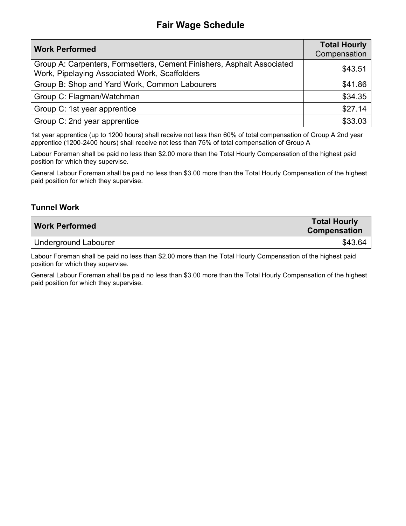| <b>Work Performed</b>                                                                                                   | <b>Total Hourly</b><br>Compensation |
|-------------------------------------------------------------------------------------------------------------------------|-------------------------------------|
| Group A: Carpenters, Formsetters, Cement Finishers, Asphalt Associated<br>Work, Pipelaying Associated Work, Scaffolders | \$43.51                             |
| Group B: Shop and Yard Work, Common Labourers                                                                           | \$41.86                             |
| Group C: Flagman/Watchman                                                                                               | \$34.35                             |
| Group C: 1st year apprentice                                                                                            | \$27.14                             |
| Group C: 2nd year apprentice                                                                                            | \$33.03                             |

1st year apprentice (up to 1200 hours) shall receive not less than 60% of total compensation of Group A 2nd year apprentice (1200-2400 hours) shall receive not less than 75% of total compensation of Group A

Labour Foreman shall be paid no less than \$2.00 more than the Total Hourly Compensation of the highest paid position for which they supervise.

General Labour Foreman shall be paid no less than \$3.00 more than the Total Hourly Compensation of the highest paid position for which they supervise.

#### **Tunnel Work**

| <b>Work Performed</b> | <b>Total Hourly</b><br><b>Compensation</b> |
|-----------------------|--------------------------------------------|
| Underground Labourer  | \$43.64                                    |

Labour Foreman shall be paid no less than \$2.00 more than the Total Hourly Compensation of the highest paid position for which they supervise.

General Labour Foreman shall be paid no less than \$3.00 more than the Total Hourly Compensation of the highest paid position for which they supervise.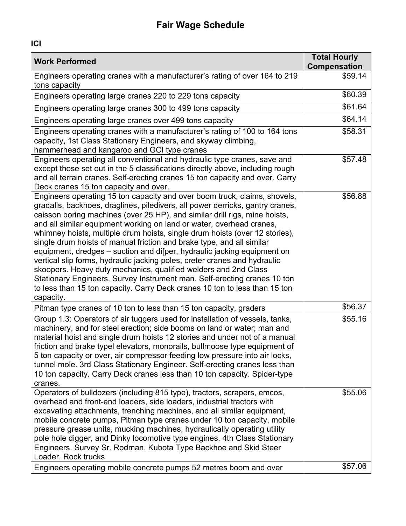| <b>Work Performed</b>                                                                                                                                                                                                                                                                                                                                                                                                                                                                                                                                                                                                                                                                                                                                                                                                                                                      | <b>Total Hourly</b><br>Compensation |
|----------------------------------------------------------------------------------------------------------------------------------------------------------------------------------------------------------------------------------------------------------------------------------------------------------------------------------------------------------------------------------------------------------------------------------------------------------------------------------------------------------------------------------------------------------------------------------------------------------------------------------------------------------------------------------------------------------------------------------------------------------------------------------------------------------------------------------------------------------------------------|-------------------------------------|
| Engineers operating cranes with a manufacturer's rating of over 164 to 219<br>tons capacity                                                                                                                                                                                                                                                                                                                                                                                                                                                                                                                                                                                                                                                                                                                                                                                | \$59.14                             |
| Engineers operating large cranes 220 to 229 tons capacity                                                                                                                                                                                                                                                                                                                                                                                                                                                                                                                                                                                                                                                                                                                                                                                                                  | \$60.39                             |
| Engineers operating large cranes 300 to 499 tons capacity                                                                                                                                                                                                                                                                                                                                                                                                                                                                                                                                                                                                                                                                                                                                                                                                                  | \$61.64                             |
| Engineers operating large cranes over 499 tons capacity                                                                                                                                                                                                                                                                                                                                                                                                                                                                                                                                                                                                                                                                                                                                                                                                                    | \$64.14                             |
| Engineers operating cranes with a manufacturer's rating of 100 to 164 tons<br>capacity, 1st Class Stationary Engineers, and skyway climbing,<br>hammerhead and kangaroo and GCI type cranes                                                                                                                                                                                                                                                                                                                                                                                                                                                                                                                                                                                                                                                                                | \$58.31                             |
| Engineers operating all conventional and hydraulic type cranes, save and<br>except those set out in the 5 classifications directly above, including rough<br>and all terrain cranes. Self-erecting cranes 15 ton capacity and over. Carry<br>Deck cranes 15 ton capacity and over.                                                                                                                                                                                                                                                                                                                                                                                                                                                                                                                                                                                         | \$57.48                             |
| Engineers operating 15 ton capacity and over boom truck, claims, shovels,<br>gradalls, backhoes, draglines, piledivers, all power derricks, gantry cranes,<br>caisson boring machines (over 25 HP), and similar drill rigs, mine hoists,<br>and all similar equipment working on land or water, overhead cranes,<br>whimney hoists, multiple drum hoists, single drum hoists (over 12 stories),<br>single drum hoists of manual friction and brake type, and all similar<br>equipment, dredges – suction and disper, hydraulic jacking equipment on<br>vertical slip forms, hydraulic jacking poles, creter cranes and hydraulic<br>skoopers. Heavy duty mechanics, qualified welders and 2nd Class<br>Stationary Engineers. Survey Instrument man. Self-erecting cranes 10 ton<br>to less than 15 ton capacity. Carry Deck cranes 10 ton to less than 15 ton<br>capacity. | \$56.88                             |
| Pitman type cranes of 10 ton to less than 15 ton capacity, graders                                                                                                                                                                                                                                                                                                                                                                                                                                                                                                                                                                                                                                                                                                                                                                                                         | \$56.37                             |
| Group 1.3: Operators of air tuggers used for installation of vessels, tanks,<br>machinery, and for steel erection; side booms on land or water; man and<br>material hoist and single drum hoists 12 stories and under not of a manual<br>friction and brake typel elevators, monorails, bullmoose type equipment of<br>5 ton capacity or over, air compressor feeding low pressure into air locks,<br>tunnel mole. 3rd Class Stationary Engineer. Self-erecting cranes less than<br>10 ton capacity. Carry Deck cranes less than 10 ton capacity. Spider-type<br>cranes.                                                                                                                                                                                                                                                                                                   | \$55.16                             |
| Operators of bulldozers (including 815 type), tractors, scrapers, emcos,<br>overhead and front-end loaders, side loaders, industrial tractors with<br>excavating attachments, trenching machines, and all similar equipment,<br>mobile concrete pumps, Pitman type cranes under 10 ton capacity, mobile<br>pressure grease units, mucking machines, hydraulically operating utility<br>pole hole digger, and Dinky locomotive type engines. 4th Class Stationary<br>Engineers. Survey Sr. Rodman, Kubota Type Backhoe and Skid Steer<br>Loader. Rock trucks                                                                                                                                                                                                                                                                                                                | \$55.06                             |
| Engineers operating mobile concrete pumps 52 metres boom and over                                                                                                                                                                                                                                                                                                                                                                                                                                                                                                                                                                                                                                                                                                                                                                                                          | \$57.06                             |

**ICI**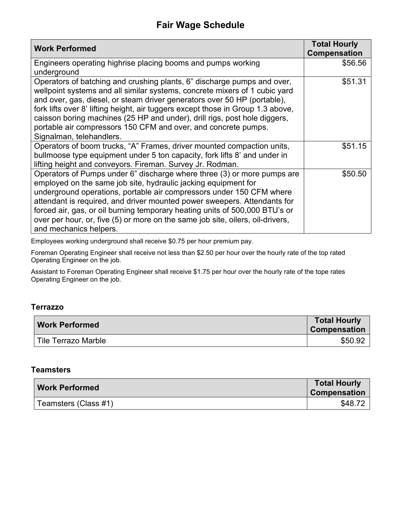| <b>Work Performed</b>                                                                                                                                                                                                                                                                                                                                                                                                                                                                           | <b>Total Hourly</b><br><b>Compensation</b> |
|-------------------------------------------------------------------------------------------------------------------------------------------------------------------------------------------------------------------------------------------------------------------------------------------------------------------------------------------------------------------------------------------------------------------------------------------------------------------------------------------------|--------------------------------------------|
| Engineers operating highrise placing booms and pumps working<br>underground                                                                                                                                                                                                                                                                                                                                                                                                                     | \$56.56                                    |
| Operators of batching and crushing plants, 6" discharge pumps and over,<br>wellpoint systems and all similar systems, concrete mixers of 1 cubic yard<br>and over, gas, diesel, or steam driver generators over 50 HP (portable),<br>fork lifts over 8' lifting height, air tuggers except those in Group 1.3 above,<br>caisson boring machines (25 HP and under), drill rigs, post hole diggers,<br>portable air compressors 150 CFM and over, and concrete pumps.<br>Signalman, telehandlers. | \$51.31                                    |
| Operators of boom trucks, "A" Frames, driver mounted compaction units,<br>bullmoose type equipment under 5 ton capacity, fork lifts 8' and under in<br>lifting height and conveyors. Fireman. Survey Jr. Rodman.                                                                                                                                                                                                                                                                                | \$51.15                                    |
| Operators of Pumps under 6" discharge where three (3) or more pumps are<br>employed on the same job site, hydraulic jacking equipment for<br>underground operations, portable air compressors under 150 CFM where<br>attendant is required, and driver mounted power sweepers. Attendants for<br>forced air, gas, or oil burning temporary heating units of 500,000 BTU's or<br>over per hour, or, five (5) or more on the same job site, oilers, oil-drivers,<br>and mechanics helpers.        | \$50.50                                    |

Employees working underground shall receive \$0.75 per hour premium pay.

Foreman Operating Engineer shall receive not less than \$2.50 per hour over the hourly rate of the top rated Operating Engineer on the job.

Assistant to Foreman Operating Engineer shall receive \$1.75 per hour over the hourly rate of the tope rates Operating Engineer on the job.

#### **Terrazzo**

| <b>Work Performed</b> | <b>Total Hourly</b><br><b>Compensation</b> |
|-----------------------|--------------------------------------------|
| ⊦Tile Terrazo Marble  | \$50.92                                    |

#### **Teamsters**

| Work Performed       | <b>Total Hourly</b><br><b>Compensation</b> |
|----------------------|--------------------------------------------|
| Teamsters (Class #1) | \$48.72                                    |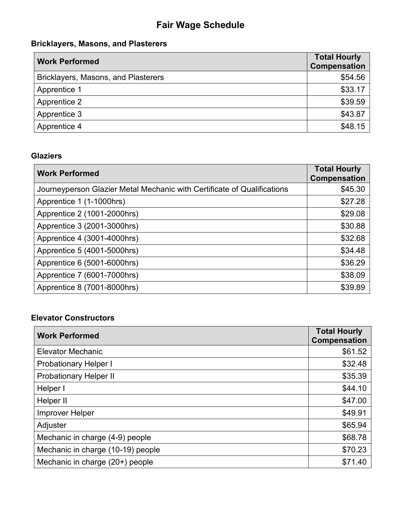## **Bricklayers, Masons, and Plasterers**

| <b>Work Performed</b>               | <b>Total Hourly</b><br>Compensation |
|-------------------------------------|-------------------------------------|
| Bricklayers, Masons, and Plasterers | \$54.56                             |
| Apprentice 1                        | \$33.17                             |
| Apprentice 2                        | \$39.59                             |
| Apprentice 3                        | \$43.87                             |
| Apprentice 4                        | \$48.15                             |

## **Glaziers**

| <b>Work Performed</b>                                                   | <b>Total Hourly</b><br>Compensation |
|-------------------------------------------------------------------------|-------------------------------------|
| Journeyperson Glazier Metal Mechanic with Certificate of Qualifications | \$45.30                             |
| Apprentice 1 (1-1000hrs)                                                | \$27.28                             |
| Apprentice 2 (1001-2000hrs)                                             | \$29.08                             |
| Apprentice 3 (2001-3000hrs)                                             | \$30.88                             |
| Apprentice 4 (3001-4000hrs)                                             | \$32.68                             |
| Apprentice 5 (4001-5000hrs)                                             | \$34.48                             |
| Apprentice 6 (5001-6000hrs)                                             | \$36.29                             |
| Apprentice 7 (6001-7000hrs)                                             | \$38.09                             |
| Apprentice 8 (7001-8000hrs)                                             | \$39.89                             |

## **Elevator Constructors**

| <b>Work Performed</b>             | <b>Total Hourly</b><br>Compensation |
|-----------------------------------|-------------------------------------|
| <b>Elevator Mechanic</b>          | \$61.52                             |
| <b>Probationary Helper I</b>      | \$32.48                             |
| <b>Probationary Helper II</b>     | \$35.39                             |
| Helper I                          | \$44.10                             |
| Helper II                         | \$47.00                             |
| <b>Improver Helper</b>            | \$49.91                             |
| Adjuster                          | \$65.94                             |
| Mechanic in charge (4-9) people   | \$68.78                             |
| Mechanic in charge (10-19) people | \$70.23                             |
| Mechanic in charge (20+) people   | \$71.40                             |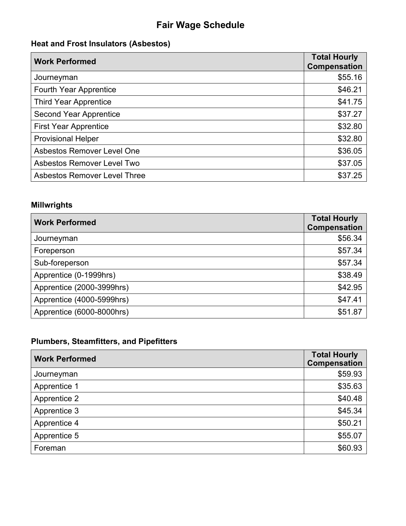## **Heat and Frost Insulators (Asbestos)**

| <b>Work Performed</b>               | <b>Total Hourly</b><br><b>Compensation</b> |
|-------------------------------------|--------------------------------------------|
| Journeyman                          | \$55.16                                    |
| <b>Fourth Year Apprentice</b>       | \$46.21                                    |
| <b>Third Year Apprentice</b>        | \$41.75                                    |
| <b>Second Year Apprentice</b>       | \$37.27                                    |
| <b>First Year Apprentice</b>        | \$32.80                                    |
| <b>Provisional Helper</b>           | \$32.80                                    |
| <b>Asbestos Remover Level One</b>   | \$36.05                                    |
| <b>Asbestos Remover Level Two</b>   | \$37.05                                    |
| <b>Asbestos Remover Level Three</b> | \$37.25                                    |

### **Millwrights**

| <b>Work Performed</b>     | <b>Total Hourly</b><br><b>Compensation</b> |
|---------------------------|--------------------------------------------|
| Journeyman                | \$56.34                                    |
| Foreperson                | \$57.34                                    |
| Sub-foreperson            | \$57.34                                    |
| Apprentice (0-1999hrs)    | \$38.49                                    |
| Apprentice (2000-3999hrs) | \$42.95                                    |
| Apprentice (4000-5999hrs) | \$47.41                                    |
| Apprentice (6000-8000hrs) | \$51.87                                    |

## **Plumbers, Steamfitters, and Pipefitters**

| <b>Work Performed</b> | <b>Total Hourly</b><br>Compensation |
|-----------------------|-------------------------------------|
| Journeyman            | \$59.93                             |
| Apprentice 1          | \$35.63                             |
| Apprentice 2          | \$40.48                             |
| Apprentice 3          | \$45.34                             |
| Apprentice 4          | \$50.21                             |
| Apprentice 5          | \$55.07                             |
| Foreman               | \$60.93                             |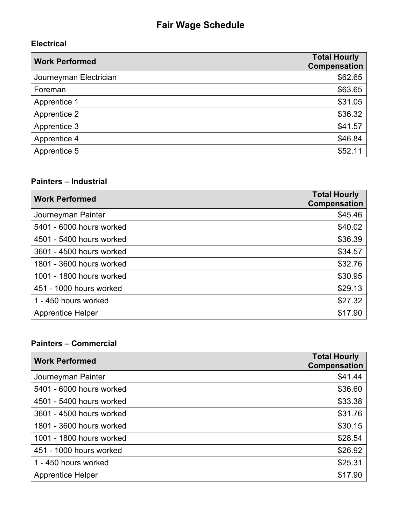### **Electrical**

| <b>Work Performed</b>  | <b>Total Hourly</b><br>Compensation |
|------------------------|-------------------------------------|
| Journeyman Electrician | \$62.65                             |
| Foreman                | \$63.65                             |
| Apprentice 1           | \$31.05                             |
| Apprentice 2           | \$36.32                             |
| Apprentice 3           | \$41.57                             |
| Apprentice 4           | \$46.84                             |
| Apprentice 5           | \$52.11                             |

#### **Painters – Industrial**

| <b>Work Performed</b>    | <b>Total Hourly</b><br>Compensation |
|--------------------------|-------------------------------------|
| Journeyman Painter       | \$45.46                             |
| 5401 - 6000 hours worked | \$40.02                             |
| 4501 - 5400 hours worked | \$36.39                             |
| 3601 - 4500 hours worked | \$34.57                             |
| 1801 - 3600 hours worked | \$32.76                             |
| 1001 - 1800 hours worked | \$30.95                             |
| 451 - 1000 hours worked  | \$29.13                             |
| 1 - 450 hours worked     | \$27.32                             |
| <b>Apprentice Helper</b> | \$17.90                             |

### **Painters – Commercial**

| <b>Work Performed</b>    | <b>Total Hourly</b><br><b>Compensation</b> |
|--------------------------|--------------------------------------------|
| Journeyman Painter       | \$41.44                                    |
| 5401 - 6000 hours worked | \$36.60                                    |
| 4501 - 5400 hours worked | \$33.38                                    |
| 3601 - 4500 hours worked | \$31.76                                    |
| 1801 - 3600 hours worked | \$30.15                                    |
| 1001 - 1800 hours worked | \$28.54                                    |
| 451 - 1000 hours worked  | \$26.92                                    |
| 1 - 450 hours worked     | \$25.31                                    |
| <b>Apprentice Helper</b> | \$17.90                                    |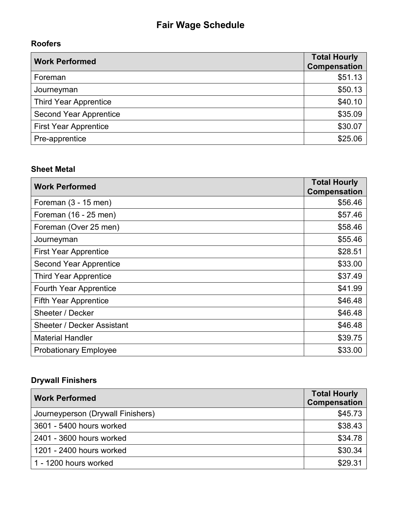## **Roofers**

| <b>Work Performed</b>         | <b>Total Hourly</b><br><b>Compensation</b> |
|-------------------------------|--------------------------------------------|
| Foreman                       | \$51.13                                    |
| Journeyman                    | \$50.13                                    |
| <b>Third Year Apprentice</b>  | \$40.10                                    |
| <b>Second Year Apprentice</b> | \$35.09                                    |
| <b>First Year Apprentice</b>  | \$30.07                                    |
| Pre-apprentice                | \$25.06                                    |

### **Sheet Metal**

| <b>Work Performed</b>             | <b>Total Hourly</b><br>Compensation |
|-----------------------------------|-------------------------------------|
| Foreman $(3 - 15$ men)            | \$56.46                             |
| Foreman (16 - 25 men)             | \$57.46                             |
| Foreman (Over 25 men)             | \$58.46                             |
| Journeyman                        | \$55.46                             |
| <b>First Year Apprentice</b>      | \$28.51                             |
| <b>Second Year Apprentice</b>     | \$33.00                             |
| <b>Third Year Apprentice</b>      | \$37.49                             |
| <b>Fourth Year Apprentice</b>     | \$41.99                             |
| <b>Fifth Year Apprentice</b>      | \$46.48                             |
| Sheeter / Decker                  | \$46.48                             |
| <b>Sheeter / Decker Assistant</b> | \$46.48                             |
| <b>Material Handler</b>           | \$39.75                             |
| <b>Probationary Employee</b>      | \$33.00                             |

## **Drywall Finishers**

| <b>Work Performed</b>             | <b>Total Hourly</b><br><b>Compensation</b> |
|-----------------------------------|--------------------------------------------|
| Journeyperson (Drywall Finishers) | \$45.73                                    |
| 3601 - 5400 hours worked          | \$38.43                                    |
| 2401 - 3600 hours worked          | \$34.78                                    |
| 1201 - 2400 hours worked          | \$30.34                                    |
| 1 - 1200 hours worked             | \$29.31                                    |